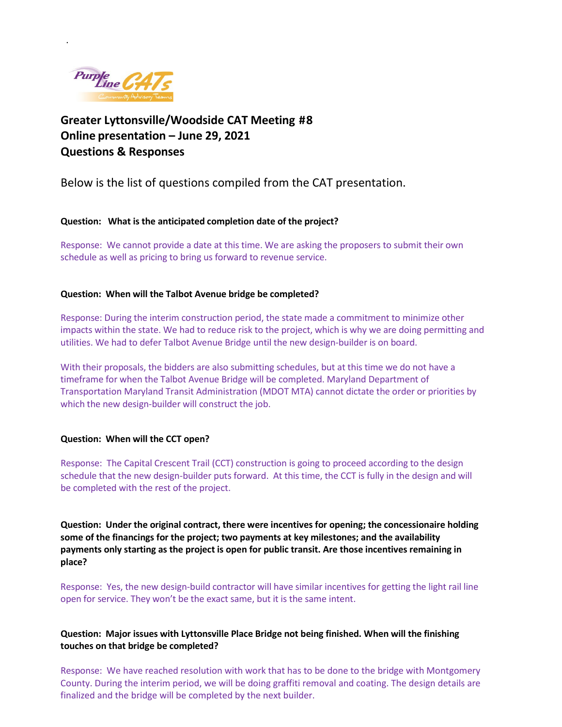

.

**Greater Lyttonsville/Woodside CAT Meeting #8 Online presentation – June 29, 2021 Questions & Responses** 

Below is the list of questions compiled from the CAT presentation.

**Question: What is the anticipated completion date of the project?**

Response: We cannot provide a date at this time. We are asking the proposers to submit their own schedule as well as pricing to bring us forward to revenue service.

### **Question: When will the Talbot Avenue bridge be completed?**

Response: During the interim construction period, the state made a commitment to minimize other impacts within the state. We had to reduce risk to the project, which is why we are doing permitting and utilities. We had to defer Talbot Avenue Bridge until the new design-builder is on board.

With their proposals, the bidders are also submitting schedules, but at this time we do not have a timeframe for when the Talbot Avenue Bridge will be completed. Maryland Department of Transportation Maryland Transit Administration (MDOT MTA) cannot dictate the order or priorities by which the new design-builder will construct the job.

### **Question: When will the CCT open?**

Response: The Capital Crescent Trail (CCT) construction is going to proceed according to the design schedule that the new design-builder puts forward. At this time, the CCT is fully in the design and will be completed with the rest of the project.

**Question: Under the original contract, there were incentives for opening; the concessionaire holding some of the financings for the project; two payments at key milestones; and the availability payments only starting as the project is open for public transit. Are those incentives remaining in place?**

Response: Yes, the new design-build contractor will have similar incentives for getting the light rail line open for service. They won't be the exact same, but it is the same intent.

## **Question: Major issues with Lyttonsville Place Bridge not being finished. When will the finishing touches on that bridge be completed?**

Response: We have reached resolution with work that has to be done to the bridge with Montgomery County. During the interim period, we will be doing graffiti removal and coating. The design details are finalized and the bridge will be completed by the next builder.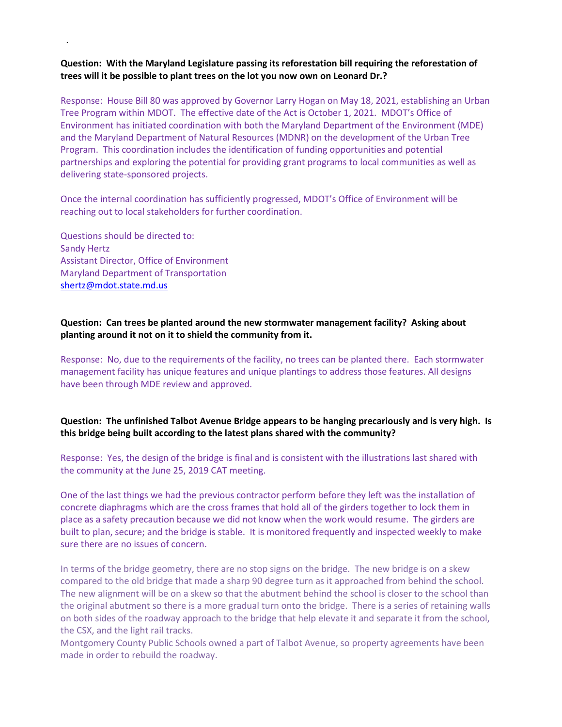# **Question: With the Maryland Legislature passing its reforestation bill requiring the reforestation of trees will it be possible to plant trees on the lot you now own on Leonard Dr.?**

Response:House Bill 80 was approved by Governor Larry Hogan on May 18, 2021, establishing an Urban Tree Program within MDOT. The effective date of the Act is October 1, 2021. MDOT's Office of Environment has initiated coordination with both the Maryland Department of the Environment (MDE) and the Maryland Department of Natural Resources (MDNR) on the development of the Urban Tree Program. This coordination includes the identification of funding opportunities and potential partnerships and exploring the potential for providing grant programs to local communities as well as delivering state-sponsored projects.

Once the internal coordination has sufficiently progressed, MDOT's Office of Environment will be reaching out to local stakeholders for further coordination.

Questions should be directed to: Sandy Hertz Assistant Director, Office of Environment Maryland Department of Transportation [shertz@mdot.state.md.us](mailto:shertz@mdot.state.md.us)

.

### **Question: Can trees be planted around the new stormwater management facility? Asking about planting around it not on it to shield the community from it.**

Response:No, due to the requirements of the facility, no trees can be planted there. Each stormwater management facility has unique features and unique plantings to address those features. All designs have been through MDE review and approved.

## **Question: The unfinished Talbot Avenue Bridge appears to be hanging precariously and is very high. Is this bridge being built according to the latest plans shared with the community?**

Response:Yes, the design of the bridge is final and is consistent with the illustrations last shared with the community at the June 25, 2019 CAT meeting.

One of the last things we had the previous contractor perform before they left was the installation of concrete diaphragms which are the cross frames that hold all of the girders together to lock them in place as a safety precaution because we did not know when the work would resume. The girders are built to plan, secure; and the bridge is stable. It is monitored frequently and inspected weekly to make sure there are no issues of concern.

In terms of the bridge geometry, there are no stop signs on the bridge. The new bridge is on a skew compared to the old bridge that made a sharp 90 degree turn as it approached from behind the school. The new alignment will be on a skew so that the abutment behind the school is closer to the school than the original abutment so there is a more gradual turn onto the bridge. There is a series of retaining walls on both sides of the roadway approach to the bridge that help elevate it and separate it from the school, the CSX, and the light rail tracks.

[Montgomery County Public Schools](https://www.montgomeryschoolsmd.org/) owned a part of Talbot Avenue, so property agreements have been made in order to rebuild the roadway.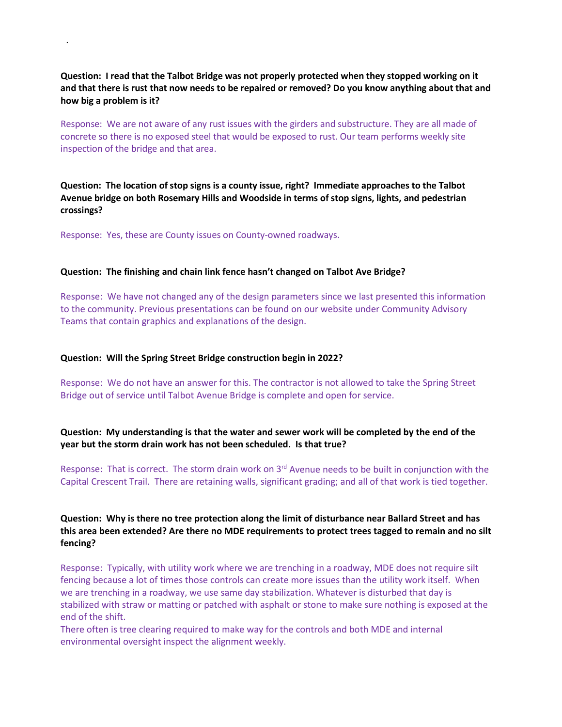**Question: I read that the Talbot Bridge was not properly protected when they stopped working on it and that there is rust that now needs to be repaired or removed? Do you know anything about that and how big a problem is it?**

Response: We are not aware of any rust issues with the girders and substructure. They are all made of concrete so there is no exposed steel that would be exposed to rust. Our team performs weekly site inspection of the bridge and that area.

**Question: The location of stop signs is a county issue, right? Immediate approaches to the Talbot Avenue bridge on both Rosemary Hills and Woodside in terms of stop signs, lights, and pedestrian crossings?**

Response: Yes, these are County issues on County-owned roadways.

.

#### **Question: The finishing and chain link fence hasn't changed on Talbot Ave Bridge?**

Response: We have not changed any of the design parameters since we last presented this information to the community. Previous presentations can be found on our website under Community Advisory Teams that contain graphics and explanations of the design.

#### **Question: Will the Spring Street Bridge construction begin in 2022?**

Response:We do not have an answer for this. The contractor is not allowed to take the Spring Street Bridge out of service until Talbot Avenue Bridge is complete and open for service.

### **Question: My understanding is that the water and sewer work will be completed by the end of the year but the storm drain work has not been scheduled. Is that true?**

Response: That is correct. The storm drain work on 3<sup>rd</sup> Avenue needs to be built in conjunction with the Capital Crescent Trail. There are retaining walls, significant grading; and all of that work is tied together.

## **Question: Why is there no tree protection along the limit of disturbance near Ballard Street and has this area been extended? Are there no MDE requirements to protect trees tagged to remain and no silt fencing?**

Response:Typically, with utility work where we are trenching in a roadway, MDE does not require silt fencing because a lot of times those controls can create more issues than the utility work itself. When we are trenching in a roadway, we use same day stabilization. Whatever is disturbed that day is stabilized with straw or matting or patched with asphalt or stone to make sure nothing is exposed at the end of the shift.

There often is tree clearing required to make way for the controls and both MDE and internal environmental oversight inspect the alignment weekly.